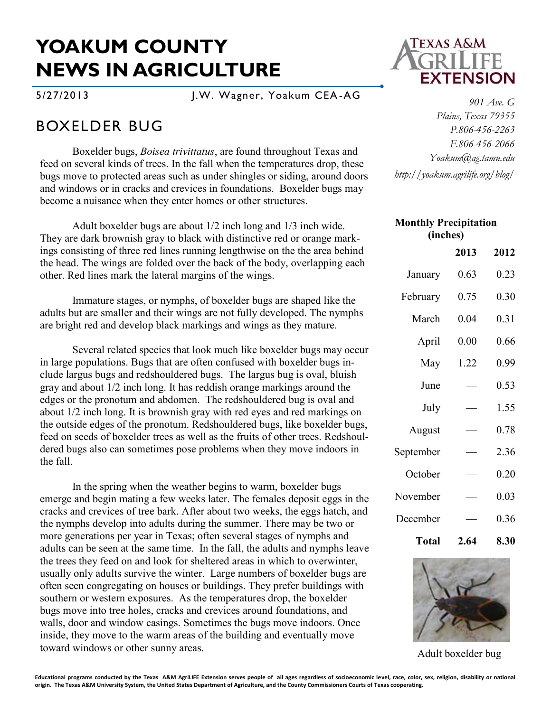## **YOAKUM COUNTY NEWS IN AGRICULTURE**

5/27/2013 J.W. Wagner, Yoakum CEA -AG

## BOXELDER BUG

Boxelder bugs, *Boisea trivittatus*, are found throughout Texas and feed on several kinds of trees. In the fall when the temperatures drop, these bugs move to protected areas such as under shingles or siding, around doors and windows or in cracks and crevices in foundations. Boxelder bugs may become a nuisance when they enter homes or other structures.

Adult boxelder bugs are about 1/2 inch long and 1/3 inch wide. They are dark brownish gray to black with distinctive red or orange markings consisting of three red lines running lengthwise on the the area behind the head. The wings are folded over the back of the body, overlapping each other. Red lines mark the lateral margins of the wings.

Immature stages, or nymphs, of boxelder bugs are shaped like the adults but are smaller and their wings are not fully developed. The nymphs are bright red and develop black markings and wings as they mature.

Several related species that look much like boxelder bugs may occur in large populations. Bugs that are often confused with boxelder bugs include largus bugs and redshouldered bugs. The largus bug is oval, bluish gray and about 1/2 inch long. It has reddish orange markings around the edges or the pronotum and abdomen. The redshouldered bug is oval and about 1/2 inch long. It is brownish gray with red eyes and red markings on the outside edges of the pronotum. Redshouldered bugs, like boxelder bugs, feed on seeds of boxelder trees as well as the fruits of other trees. Redshouldered bugs also can sometimes pose problems when they move indoors in the fall.

In the spring when the weather begins to warm, boxelder bugs emerge and begin mating a few weeks later. The females deposit eggs in the cracks and crevices of tree bark. After about two weeks, the eggs hatch, and the nymphs develop into adults during the summer. There may be two or more generations per year in Texas; often several stages of nymphs and adults can be seen at the same time. In the fall, the adults and nymphs leave the trees they feed on and look for sheltered areas in which to overwinter, usually only adults survive the winter. Large numbers of boxelder bugs are often seen congregating on houses or buildings. They prefer buildings with southern or western exposures. As the temperatures drop, the boxelder bugs move into tree holes, cracks and crevices around foundations, and walls, door and window casings. Sometimes the bugs move indoors. Once inside, they move to the warm areas of the building and eventually move toward windows or other sunny areas.



*901 Ave. G Plains, Texas 79355 P.806-456-2263 F.806-456-2066 Yoakum@ag.tamu.edu http://yoakum.agrilife.org/blog/*

| <b>Monthly Precipitation</b><br>(inches) |      |      |
|------------------------------------------|------|------|
|                                          | 2013 | 2012 |
| January                                  | 0.63 | 0.23 |
| February                                 | 0.75 | 0.30 |
| March                                    | 0.04 | 0.31 |
| April                                    | 0.00 | 0.66 |
| May                                      | 1.22 | 0.99 |
| June                                     |      | 0.53 |
| July                                     |      | 1.55 |
| August                                   |      | 0.78 |
| September                                |      | 2.36 |
| October                                  |      | 0.20 |
| November                                 |      | 0.03 |
| December                                 |      | 0.36 |
| Total                                    | 2.64 | 8.30 |



Adult boxelder bug